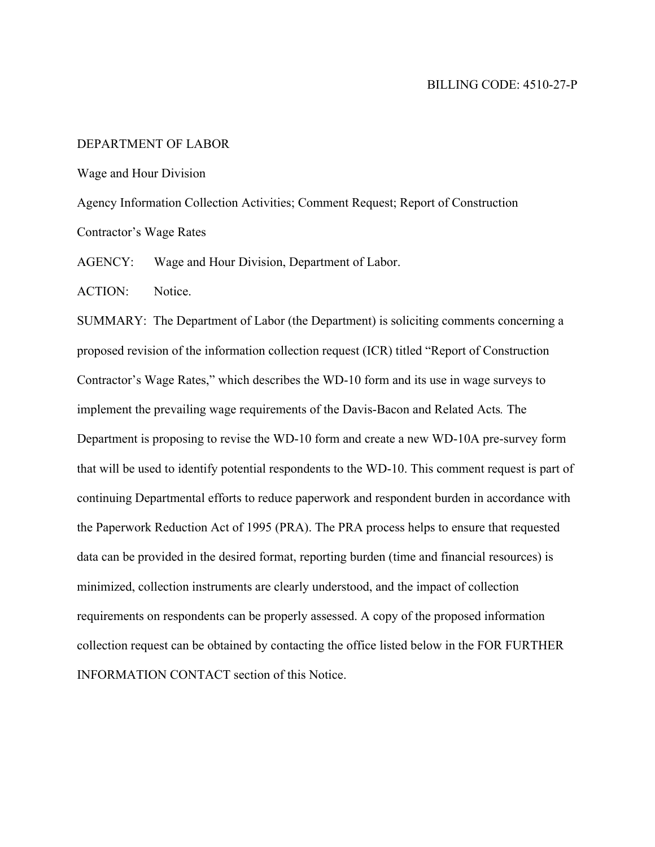## DEPARTMENT OF LABOR

Wage and Hour Division

Agency Information Collection Activities; Comment Request; Report of Construction Contractor's Wage Rates

AGENCY: Wage and Hour Division, Department of Labor.

ACTION: Notice.

SUMMARY: The Department of Labor (the Department) is soliciting comments concerning a proposed revision of the information collection request (ICR) titled "Report of Construction Contractor's Wage Rates," which describes the WD-10 form and its use in wage surveys to implement the prevailing wage requirements of the Davis-Bacon and Related Acts*.* The Department is proposing to revise the WD-10 form and create a new WD-10A pre-survey form that will be used to identify potential respondents to the WD-10. This comment request is part of continuing Departmental efforts to reduce paperwork and respondent burden in accordance with the Paperwork Reduction Act of 1995 (PRA). The PRA process helps to ensure that requested data can be provided in the desired format, reporting burden (time and financial resources) is minimized, collection instruments are clearly understood, and the impact of collection requirements on respondents can be properly assessed. A copy of the proposed information collection request can be obtained by contacting the office listed below in the FOR FURTHER INFORMATION CONTACT section of this Notice.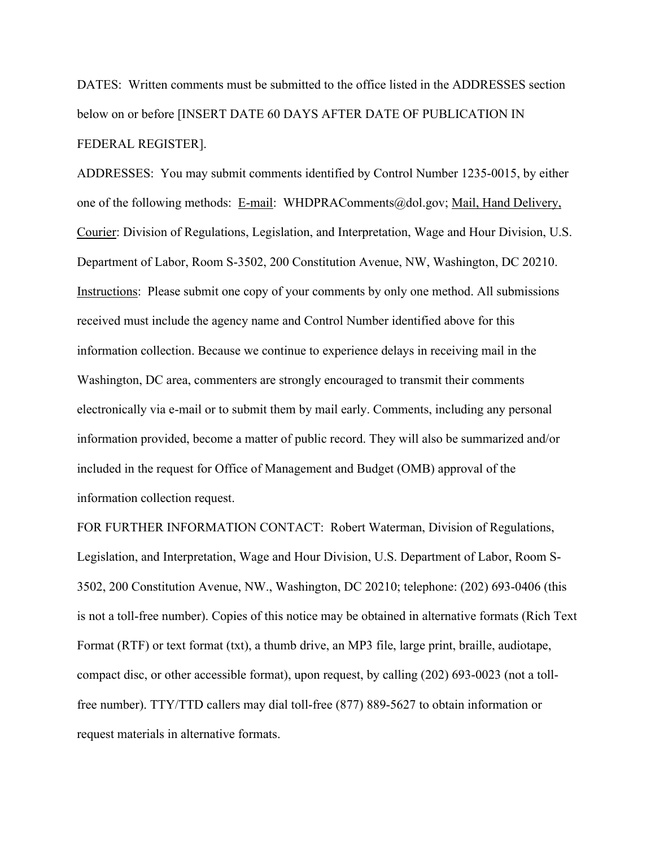DATES: Written comments must be submitted to the office listed in the ADDRESSES section below on or before [INSERT DATE 60 DAYS AFTER DATE OF PUBLICATION IN FEDERAL REGISTER].

ADDRESSES: You may submit comments identified by Control Number 1235-0015, by either one of the following methods: E-mail: [WHDPRAComments@dol.gov;](mailto:WHDPRAComments@dol.gov) Mail, Hand Delivery, Courier: Division of Regulations, Legislation, and Interpretation, Wage and Hour Division, U.S. Department of Labor, Room S-3502, 200 Constitution Avenue, NW, Washington, DC 20210. Instructions: Please submit one copy of your comments by only one method. All submissions received must include the agency name and Control Number identified above for this information collection. Because we continue to experience delays in receiving mail in the Washington, DC area, commenters are strongly encouraged to transmit their comments electronically via e-mail or to submit them by mail early. Comments, including any personal information provided, become a matter of public record. They will also be summarized and/or included in the request for Office of Management and Budget (OMB) approval of the information collection request.

FOR FURTHER INFORMATION CONTACT:Robert Waterman, Division of Regulations, Legislation, and Interpretation, Wage and Hour Division, U.S. Department of Labor, Room S-3502, 200 Constitution Avenue, NW., Washington, DC 20210; telephone: (202) 693-0406 (this is not a toll-free number). Copies of this notice may be obtained in alternative formats (Rich Text Format (RTF) or text format (txt), a thumb drive, an MP3 file, large print, braille, audiotape, compact disc, or other accessible format), upon request, by calling (202) 693-0023 (not a tollfree number). TTY/TTD callers may dial toll-free (877) 889-5627 to obtain information or request materials in alternative formats.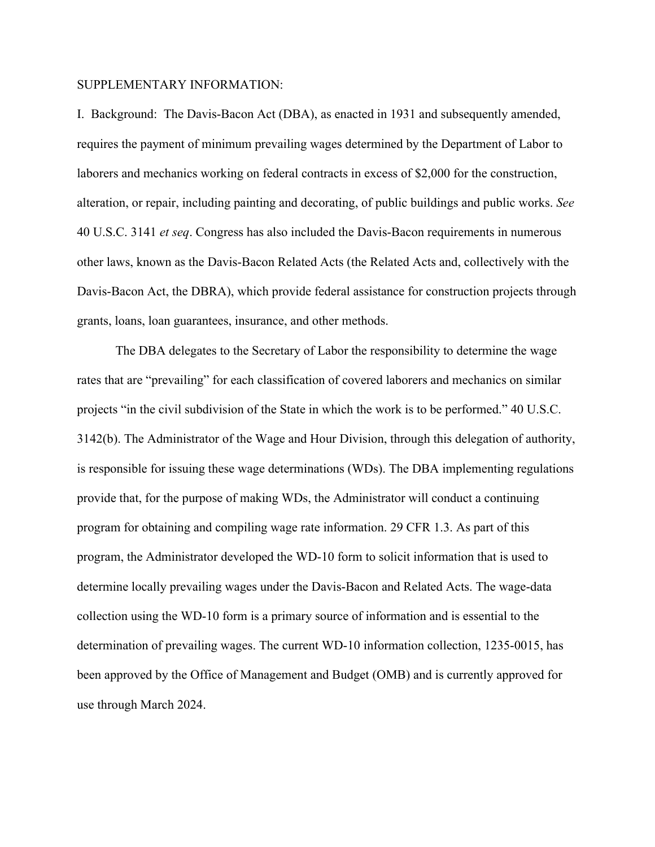## SUPPLEMENTARY INFORMATION:

I. Background: The Davis-Bacon Act (DBA), as enacted in 1931 and subsequently amended, requires the payment of minimum prevailing wages determined by the Department of Labor to laborers and mechanics working on federal contracts in excess of \$2,000 for the construction, alteration, or repair, including painting and decorating, of public buildings and public works. *See*  40 U.S.C. 3141 *et seq*. Congress has also included the Davis-Bacon requirements in numerous other laws, known as the Davis-Bacon Related Acts (the Related Acts and, collectively with the Davis-Bacon Act, the DBRA), which provide federal assistance for construction projects through grants, loans, loan guarantees, insurance, and other methods.

The DBA delegates to the Secretary of Labor the responsibility to determine the wage rates that are "prevailing" for each classification of covered laborers and mechanics on similar projects "in the civil subdivision of the State in which the work is to be performed." 40 U.S.C. 3142(b). The Administrator of the Wage and Hour Division, through this delegation of authority, is responsible for issuing these wage determinations (WDs). The DBA implementing regulations provide that, for the purpose of making WDs, the Administrator will conduct a continuing program for obtaining and compiling wage rate information. 29 CFR 1.3. As part of this program, the Administrator developed the WD-10 form to solicit information that is used to determine locally prevailing wages under the Davis-Bacon and Related Acts. The wage-data collection using the WD-10 form is a primary source of information and is essential to the determination of prevailing wages. The current WD-10 information collection, 1235-0015, has been approved by the Office of Management and Budget (OMB) and is currently approved for use through March 2024.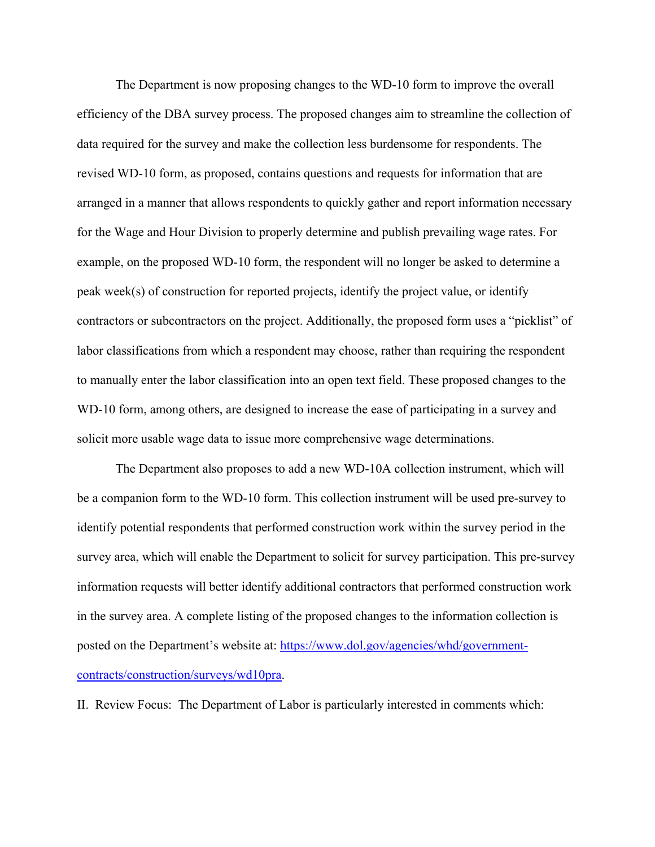The Department is now proposing changes to the WD-10 form to improve the overall efficiency of the DBA survey process. The proposed changes aim to streamline the collection of data required for the survey and make the collection less burdensome for respondents. The revised WD-10 form, as proposed, contains questions and requests for information that are arranged in a manner that allows respondents to quickly gather and report information necessary for the Wage and Hour Division to properly determine and publish prevailing wage rates. For example, on the proposed WD-10 form, the respondent will no longer be asked to determine a peak week(s) of construction for reported projects, identify the project value, or identify contractors or subcontractors on the project. Additionally, the proposed form uses a "picklist" of labor classifications from which a respondent may choose, rather than requiring the respondent to manually enter the labor classification into an open text field. These proposed changes to the WD-10 form, among others, are designed to increase the ease of participating in a survey and solicit more usable wage data to issue more comprehensive wage determinations.

The Department also proposes to add a new WD-10A collection instrument, which will be a companion form to the WD-10 form. This collection instrument will be used pre-survey to identify potential respondents that performed construction work within the survey period in the survey area, which will enable the Department to solicit for survey participation. This pre-survey information requests will better identify additional contractors that performed construction work in the survey area. A complete listing of the proposed changes to the information collection is posted on the Department's website at: [https://www.dol.gov/agencies/whd/government](https://www.dol.gov/agencies/whd/government-contracts/construction/surveys/wd10pra)[contracts/construction/surveys/wd10pra.](https://www.dol.gov/agencies/whd/government-contracts/construction/surveys/wd10pra)

II. Review Focus: The Department of Labor is particularly interested in comments which: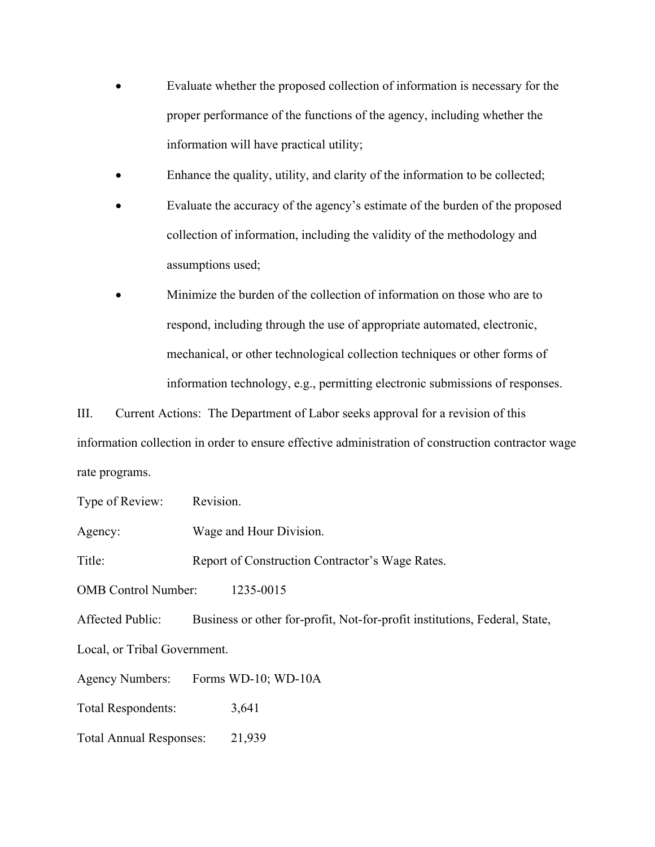- Evaluate whether the proposed collection of information is necessary for the proper performance of the functions of the agency, including whether the information will have practical utility;
- Enhance the quality, utility, and clarity of the information to be collected;
- Evaluate the accuracy of the agency's estimate of the burden of the proposed collection of information, including the validity of the methodology and assumptions used;
- Minimize the burden of the collection of information on those who are to respond, including through the use of appropriate automated, electronic, mechanical, or other technological collection techniques or other forms of information technology, e.g., permitting electronic submissions of responses.

III. Current Actions: The Department of Labor seeks approval for a revision of this information collection in order to ensure effective administration of construction contractor wage rate programs.

Type of Review: Revision.

Agency: Wage and Hour Division.

Title: Report of Construction Contractor's Wage Rates.

OMB Control Number: 1235-0015

Affected Public: Business or other for-profit, Not-for-profit institutions, Federal, State,

Local, or Tribal Government.

Agency Numbers: Forms WD-10; WD-10A

Total Respondents: 3,641

Total Annual Responses: 21,939